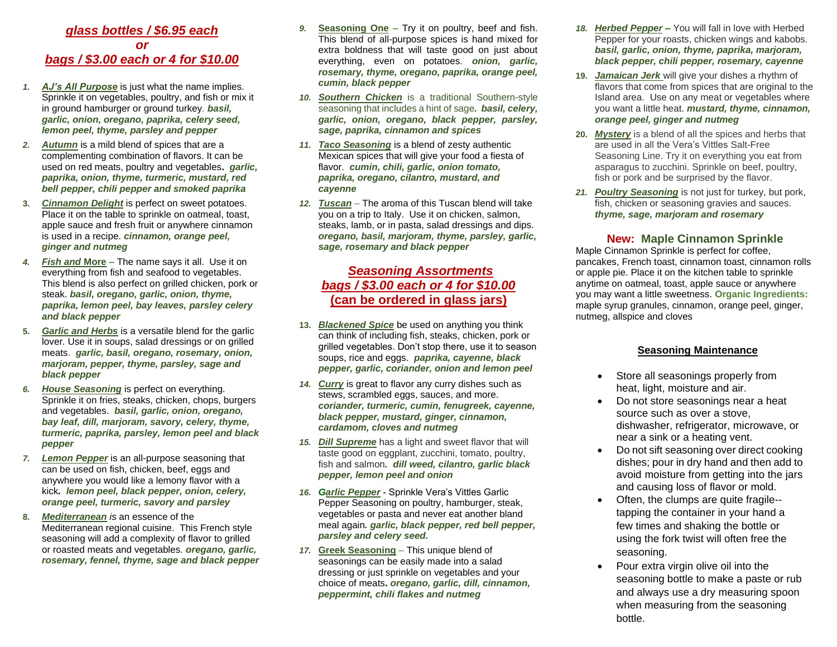#### *glass bottles / \$6.95 each or bags / \$3.00 each or 4 for \$10.00*

- *1. AJ's All Purpose* is just what the name implies. Sprinkle it on vegetables, poultry, and fish or mix it in ground hamburger or ground turkey*. basil, garlic, onion, oregano, paprika, celery seed, lemon peel, thyme, parsley and pepper*
- *2. Autumn* is a mild blend of spices that are a complementing combination of flavors. It can be used on red meats, poultry and vegetables**.** *garlic, paprika, onion, thyme, turmeric, mustard, red bell pepper, chili pepper and smoked paprika*
- **3.** *Cinnamon Delight* is perfect on sweet potatoes. Place it on the table to sprinkle on oatmeal, toast, apple sauce and fresh fruit or anywhere cinnamon is used in a recipe. *cinnamon, orange peel, ginger and nutmeg*
- *4. Fish and* **More –** The name says it all. Use it on everything from fish and seafood to vegetables. This blend is also perfect on grilled chicken, pork or steak. *basil, oregano, garlic, onion, thyme, paprika, lemon peel, bay leaves, parsley celery and black pepper*
- **5.** *Garlic and Herbs* is a versatile blend for the garlic lover. Use it in soups, salad dressings or on grilled meats. *garlic, basil, oregano, rosemary, onion, marjoram, pepper, thyme, parsley, sage and black pepper*
- *6. House Seasoning* is perfect on everything. Sprinkle it on fries, steaks, chicken, chops, burgers and vegetables. *basil, garlic, onion, oregano, bay leaf, dill, marjoram, savory, celery, thyme, turmeric, paprika, parsley, lemon peel and black pepper*
- *7. Lemon Pepper* is an all-purpose seasoning that can be used on fish, chicken, beef, eggs and anywhere you would like a lemony flavor with a kick*. lemon peel, black pepper, onion, celery, orange peel, turmeric, savory and parsley*
- **8.** *Mediterranean is* an essence of the Mediterranean regional cuisine. This French style seasoning will add a complexity of flavor to grilled or roasted meats and vegetables. *oregano, garlic, rosemary, fennel, thyme, sage and black pepper*
- *9.* **Seasoning One –** Try it on poultry, beef and fish. This blend of all-purpose spices is hand mixed for extra boldness that will taste good on just about everything, even on potatoes*. onion, garlic, rosemary, thyme, oregano, paprika, orange peel, cumin, black pepper*
- *10. Southern Chicken* is a traditional Southern-style seasoning that includes a hint of sage*. basil, celery, garlic, onion, oregano, black pepper, parsley, sage, paprika, cinnamon and spices*
- *11. Taco Seasoning* is a blend of zesty authentic Mexican spices that will give your food a fiesta of flavor. *cumin, chili, garlic, onion tomato, paprika, oregano, cilantro, mustard, and cayenne*
- *12. Tuscan* The aroma of this Tuscan blend will take you on a trip to Italy. Use it on chicken, salmon, steaks, lamb, or in pasta, salad dressings and dips. *oregano, basil, marjoram, thyme, parsley, garlic, sage, rosemary and black pepper*

## *Seasoning Assortments bags / \$3.00 each or 4 for \$10.00* **(can be ordered in glass jars)**

- **13.** *Blackened Spice* be used on anything you think can think of including fish, steaks, chicken, pork or grilled vegetables. Don't stop there, use it to season soups, rice and eggs. *paprika, cayenne, black pepper, garlic, coriander, onion and lemon peel*
- *14. Curry* is great to flavor any curry dishes such as stews, scrambled eggs, sauces, and more. *coriander, turmeric, cumin, fenugreek, cayenne, black pepper, mustard, ginger, cinnamon, cardamom, cloves and nutmeg*
- *15. Dill Supreme* has a light and sweet flavor that will taste good on eggplant, zucchini, tomato, poultry, fish and salmon*. dill weed, cilantro, garlic black pepper, lemon peel and onion*
- *16. Garlic Pepper -* Sprinkle Vera's Vittles Garlic Pepper Seasoning on poultry, hamburger, steak, vegetables or pasta and never eat another bland meal again*. garlic, black pepper, red bell pepper, parsley and celery seed.*
- *17.* **Greek Seasoning** This unique blend of seasonings can be easily made into a salad dressing or just sprinkle on vegetables and your choice of meats**.** *oregano, garlic, dill, cinnamon, peppermint, chili flakes and nutmeg*
- *18. Herbed Pepper –* You will fall in love with Herbed Pepper for your roasts, chicken wings and kabobs. *basil, garlic, onion, thyme, paprika, marjoram, black pepper, chili pepper, rosemary, cayenne*
- **19.** *Jamaican Jerk* will give your dishes a rhythm of flavors that come from spices that are original to the Island area. Use on any meat or vegetables where you want a little heat. *mustard, thyme, cinnamon, orange peel, ginger and nutmeg*
- **20.** *Mystery* is a blend of all the spices and herbs that are used in all the Vera's Vittles Salt-Free Seasoning Line. Try it on everything you eat from asparagus to zucchini. Sprinkle on beef, poultry, fish or pork and be surprised by the flavor.
- *21. Poultry Seasoning* is not just for turkey, but pork, fish, chicken or seasoning gravies and sauces. *thyme, sage, marjoram and rosemary*

## **New: Maple Cinnamon Sprinkle**

Maple Cinnamon Sprinkle is perfect for coffee, pancakes, French toast, cinnamon toast, cinnamon rolls or apple pie. Place it on the kitchen table to sprinkle anytime on oatmeal, toast, apple sauce or anywhere you may want a little sweetness. **Organic Ingredients:** maple syrup granules, cinnamon, orange peel, ginger, nutmeg, allspice and cloves

#### **Seasoning Maintenance**

- Store all seasonings properly from heat, light, moisture and air.
- Do not store seasonings near a heat source such as over a stove, dishwasher, refrigerator, microwave, or near a sink or a heating vent.
- Do not sift seasoning over direct cooking dishes; pour in dry hand and then add to avoid moisture from getting into the jars and causing loss of flavor or mold.
- Often, the clumps are quite fragile- tapping the container in your hand a few times and shaking the bottle or using the fork twist will often free the seasoning.
- Pour extra virgin olive oil into the seasoning bottle to make a paste or rub and always use a dry measuring spoon when measuring from the seasoning bottle.